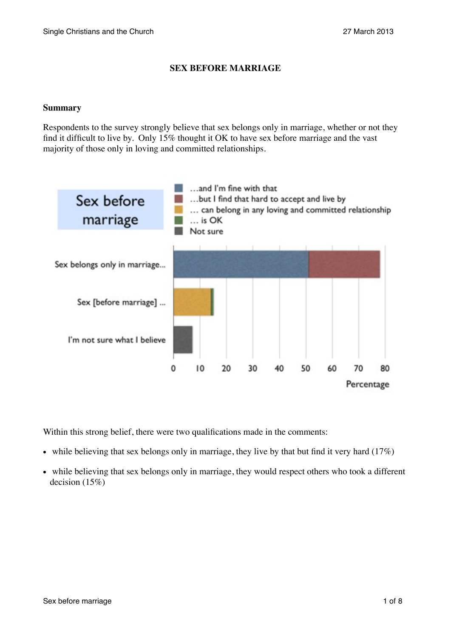# **SEX BEFORE MARRIAGE**

# **Summary**

Respondents to the survey strongly believe that sex belongs only in marriage, whether or not they find it difficult to live by. Only 15% thought it OK to have sex before marriage and the vast majority of those only in loving and committed relationships.



Within this strong belief, there were two qualifications made in the comments:

- while believing that sex belongs only in marriage, they live by that but find it very hard  $(17%)$
- while believing that sex belongs only in marriage, they would respect others who took a different decision (15%)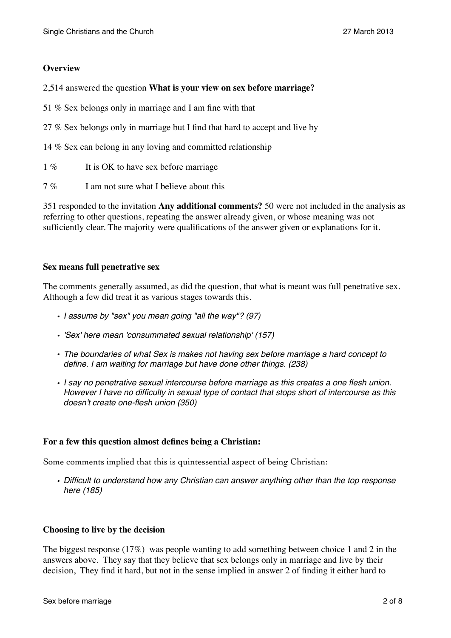# **Overview**

2,514 answered the question **What is your view on sex before marriage?**

51 % Sex belongs only in marriage and I am fine with that

27 % Sex belongs only in marriage but I find that hard to accept and live by

14 % Sex can belong in any loving and committed relationship

- 1 % It is OK to have sex before marriage
- 7 % I am not sure what I believe about this

351 responded to the invitation **Any additional comments?** 50 were not included in the analysis as referring to other questions, repeating the answer already given, or whose meaning was not sufficiently clear. The majority were qualifications of the answer given or explanations for it.

### **Sex means full penetrative sex**

The comments generally assumed, as did the question, that what is meant was full penetrative sex. Although a few did treat it as various stages towards this.

- *• I assume by "sex" you mean going "all the way"? (97)*
- *• 'Sex' here mean 'consummated sexual relationship' (157)*
- *• The boundaries of what Sex is makes not having sex before marriage a hard concept to define. I am waiting for marriage but have done other things. (238)*
- *• I say no penetrative sexual intercourse before marriage as this creates a one flesh union. However I have no difficulty in sexual type of contact that stops short of intercourse as this doesn't create one-flesh union (350)*

## **For a few this question almost defines being a Christian:**

Some comments implied that this is quintessential aspect of being Christian:

*• Difficult to understand how any Christian can answer anything other than the top response here (185)*

## **Choosing to live by the decision**

The biggest response (17%) was people wanting to add something between choice 1 and 2 in the answers above. They say that they believe that sex belongs only in marriage and live by their decision, They find it hard, but not in the sense implied in answer 2 of finding it either hard to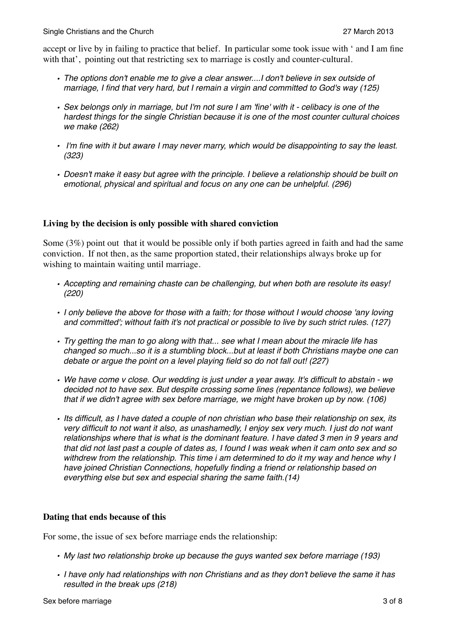accept or live by in failing to practice that belief. In particular some took issue with ' and I am fine with that', pointing out that restricting sex to marriage is costly and counter-cultural.

- *• The options don't enable me to give a clear answer....I don't believe in sex outside of marriage, I find that very hard, but I remain a virgin and committed to God's way (125)*
- *• Sex belongs only in marriage, but I'm not sure I am 'fine' with it celibacy is one of the hardest things for the single Christian because it is one of the most counter cultural choices we make (262)*
- *I'm fine with it but aware I may never marry, which would be disappointing to say the least. (323)*
- *• Doesn't make it easy but agree with the principle. I believe a relationship should be built on emotional, physical and spiritual and focus on any one can be unhelpful. (296)*

# **Living by the decision is only possible with shared conviction**

Some (3%) point out that it would be possible only if both parties agreed in faith and had the same conviction. If not then, as the same proportion stated, their relationships always broke up for wishing to maintain waiting until marriage.

- *• Accepting and remaining chaste can be challenging, but when both are resolute its easy! (220)*
- *• I only believe the above for those with a faith; for those without I would choose 'any loving and committed'; without faith it's not practical or possible to live by such strict rules. (127)*
- *• Try getting the man to go along with that... see what I mean about the miracle life has changed so much...so it is a stumbling block...but at least if both Christians maybe one can debate or argue the point on a level playing field so do not fall out! (227)*
- *• We have come v close. Our wedding is just under a year away. It's difficult to abstain we decided not to have sex. But despite crossing some lines (repentance follows), we believe that if we didn't agree with sex before marriage, we might have broken up by now. (106)*
- *• Its difficult, as I have dated a couple of non christian who base their relationship on sex, its very difficult to not want it also, as unashamedly, I enjoy sex very much. I just do not want relationships where that is what is the dominant feature. I have dated 3 men in 9 years and that did not last past a couple of dates as, I found I was weak when it cam onto sex and so withdrew from the relationship. This time i am determined to do it my way and hence why I have joined Christian Connections, hopefully finding a friend or relationship based on everything else but sex and especial sharing the same faith.(14)*

## **Dating that ends because of this**

For some, the issue of sex before marriage ends the relationship:

- *• My last two relationship broke up because the guys wanted sex before marriage (193)*
- *• I have only had relationships with non Christians and as they don't believe the same it has resulted in the break ups (218)*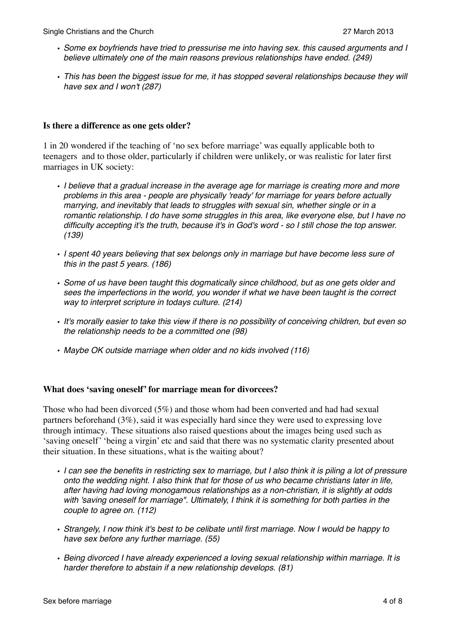- *• Some ex boyfriends have tried to pressurise me into having sex. this caused arguments and I believe ultimately one of the main reasons previous relationships have ended. (249)*
- *• This has been the biggest issue for me, it has stopped several relationships because they will have sex and I won't (287)*

### **Is there a difference as one gets older?**

1 in 20 wondered if the teaching of 'no sex before marriage' was equally applicable both to teenagers and to those older, particularly if children were unlikely, or was realistic for later first marriages in UK society:

- *• I believe that a gradual increase in the average age for marriage is creating more and more problems in this area - people are physically 'ready' for marriage for years before actually marrying, and inevitably that leads to struggles with sexual sin, whether single or in a romantic relationship. I do have some struggles in this area, like everyone else, but I have no difficulty accepting it's the truth, because it's in God's word - so I still chose the top answer. (139)*
- *• I spent 40 years believing that sex belongs only in marriage but have become less sure of this in the past 5 years. (186)*
- *• Some of us have been taught this dogmatically since childhood, but as one gets older and sees the imperfections in the world, you wonder if what we have been taught is the correct way to interpret scripture in todays culture. (214)*
- *• It's morally easier to take this view if there is no possibility of conceiving children, but even so the relationship needs to be a committed one (98)*
- *• Maybe OK outside marriage when older and no kids involved (116)*

#### **What does 'saving oneself' for marriage mean for divorcees?**

Those who had been divorced (5%) and those whom had been converted and had had sexual partners beforehand (3%), said it was especially hard since they were used to expressing love through intimacy. These situations also raised questions about the images being used such as 'saving oneself' 'being a virgin' etc and said that there was no systematic clarity presented about their situation. In these situations, what is the waiting about?

- *• I can see the benefits in restricting sex to marriage, but I also think it is piling a lot of pressure onto the wedding night. I also think that for those of us who became christians later in life, after having had loving monogamous relationships as a non-christian, it is slightly at odds with 'saving oneself for marriage". Ultimately, I think it is something for both parties in the couple to agree on. (112)*
- *• Strangely, I now think it's best to be celibate until first marriage. Now I would be happy to have sex before any further marriage. (55)*
- *• Being divorced I have already experienced a loving sexual relationship within marriage. It is harder therefore to abstain if a new relationship develops. (81)*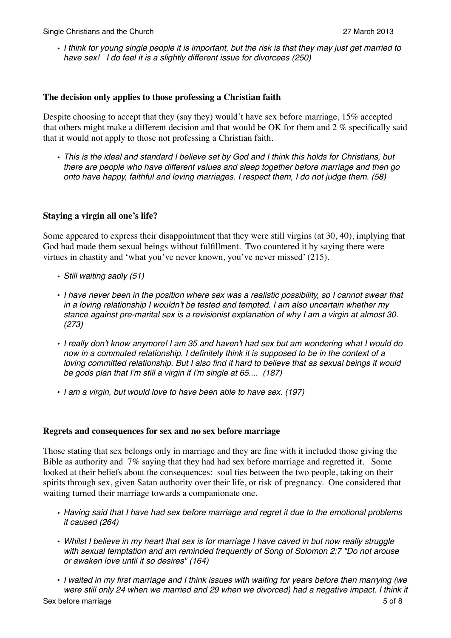*• I think for young single people it is important, but the risk is that they may just get married to have sex! I do feel it is a slightly different issue for divorcees (250)*

### **The decision only applies to those professing a Christian faith**

Despite choosing to accept that they (say they) would't have sex before marriage, 15% accepted that others might make a different decision and that would be OK for them and 2 % specifically said that it would not apply to those not professing a Christian faith.

*• This is the ideal and standard I believe set by God and I think this holds for Christians, but there are people who have different values and sleep together before marriage and then go onto have happy, faithful and loving marriages. I respect them, I do not judge them. (58)*

## **Staying a virgin all one's life?**

Some appeared to express their disappointment that they were still virgins (at 30, 40), implying that God had made them sexual beings without fulfillment. Two countered it by saying there were virtues in chastity and 'what you've never known, you've never missed' (215).

- *• Still waiting sadly (51)*
- *• I have never been in the position where sex was a realistic possibility, so I cannot swear that in a loving relationship I wouldn't be tested and tempted. I am also uncertain whether my stance against pre-marital sex is a revisionist explanation of why I am a virgin at almost 30. (273)*
- *• I really don't know anymore! I am 35 and haven't had sex but am wondering what I would do now in a commuted relationship. I definitely think it is supposed to be in the context of a loving committed relationship. But I also find it hard to believe that as sexual beings it would be gods plan that I'm still a virgin if I'm single at 65.... (187)*
- *• I am a virgin, but would love to have been able to have sex. (197)*

#### **Regrets and consequences for sex and no sex before marriage**

Those stating that sex belongs only in marriage and they are fine with it included those giving the Bible as authority and 7% saying that they had had sex before marriage and regretted it. Some looked at their beliefs about the consequences: soul ties between the two people, taking on their spirits through sex, given Satan authority over their life, or risk of pregnancy. One considered that waiting turned their marriage towards a companionate one.

- *• Having said that I have had sex before marriage and regret it due to the emotional problems it caused (264)*
- *• Whilst I believe in my heart that sex is for marriage I have caved in but now really struggle with sexual temptation and am reminded frequently of Song of Solomon 2:7 "Do not arouse or awaken love until it so desires" (164)*
- *• I waited in my first marriage and I think issues with waiting for years before then marrying (we were still only 24 when we married and 29 when we divorced) had a negative impact. I think it*  Sex before marriage 5 of 8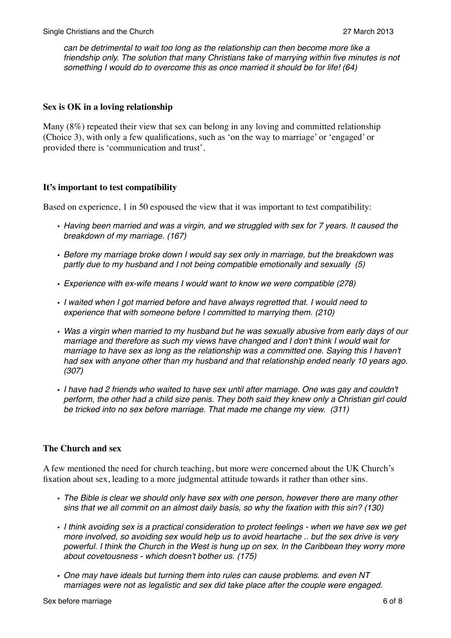*can be detrimental to wait too long as the relationship can then become more like a friendship only. The solution that many Christians take of marrying within five minutes is not something I would do to overcome this as once married it should be for life! (64)*

## **Sex is OK in a loving relationship**

Many (8%) repeated their view that sex can belong in any loving and committed relationship (Choice 3), with only a few qualifications, such as 'on the way to marriage' or 'engaged' or provided there is 'communication and trust'.

### **It's important to test compatibility**

Based on experience, 1 in 50 espoused the view that it was important to test compatibility:

- *• Having been married and was a virgin, and we struggled with sex for 7 years. It caused the breakdown of my marriage. (167)*
- *• Before my marriage broke down I would say sex only in marriage, but the breakdown was partly due to my husband and I not being compatible emotionally and sexually (5)*
- *• Experience with ex-wife means I would want to know we were compatible (278)*
- *• I waited when I got married before and have always regretted that. I would need to experience that with someone before I committed to marrying them. (210)*
- *• Was a virgin when married to my husband but he was sexually abusive from early days of our marriage and therefore as such my views have changed and I don't think I would wait for marriage to have sex as long as the relationship was a committed one. Saying this I haven't had sex with anyone other than my husband and that relationship ended nearly 10 years ago. (307)*
- *• I have had 2 friends who waited to have sex until after marriage. One was gay and couldn't perform, the other had a child size penis. They both said they knew only a Christian girl could be tricked into no sex before marriage. That made me change my view. (311)*

## **The Church and sex**

A few mentioned the need for church teaching, but more were concerned about the UK Church's fixation about sex, leading to a more judgmental attitude towards it rather than other sins.

- *• The Bible is clear we should only have sex with one person, however there are many other sins that we all commit on an almost daily basis, so why the fixation with this sin? (130)*
- *• I think avoiding sex is a practical consideration to protect feelings when we have sex we get more involved, so avoiding sex would help us to avoid heartache .. but the sex drive is very powerful. I think the Church in the West is hung up on sex. In the Caribbean they worry more about covetousness - which doesn't bother us. (175)*
- *• One may have ideals but turning them into rules can cause problems. and even NT marriages were not as legalistic and sex did take place after the couple were engaged.*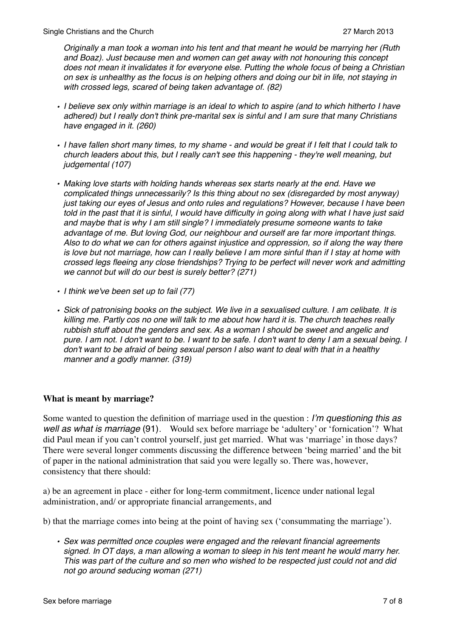*Originally a man took a woman into his tent and that meant he would be marrying her (Ruth and Boaz). Just because men and women can get away with not honouring this concept does not mean it invalidates it for everyone else. Putting the whole focus of being a Christian on sex is unhealthy as the focus is on helping others and doing our bit in life, not staying in with crossed legs, scared of being taken advantage of. (82)*

- *• I believe sex only within marriage is an ideal to which to aspire (and to which hitherto I have adhered) but I really don't think pre-marital sex is sinful and I am sure that many Christians have engaged in it. (260)*
- *• I have fallen short many times, to my shame and would be great if I felt that I could talk to church leaders about this, but I really can't see this happening - they're well meaning, but judgemental (107)*
- *• Making love starts with holding hands whereas sex starts nearly at the end. Have we complicated things unnecessarily? Is this thing about no sex (disregarded by most anyway) just taking our eyes of Jesus and onto rules and regulations? However, because I have been told in the past that it is sinful, I would have difficulty in going along with what I have just said and maybe that is why I am still single? I immediately presume someone wants to take advantage of me. But loving God, our neighbour and ourself are far more important things. Also to do what we can for others against injustice and oppression, so if along the way there is love but not marriage, how can I really believe I am more sinful than if I stay at home with crossed legs fleeing any close friendships? Trying to be perfect will never work and admitting we cannot but will do our best is surely better? (271)*
- *• I think we've been set up to fail (77)*
- *• Sick of patronising books on the subject. We live in a sexualised culture. I am celibate. It is killing me. Partly cos no one will talk to me about how hard it is. The church teaches really rubbish stuff about the genders and sex. As a woman I should be sweet and angelic and pure. I am not. I don't want to be. I want to be safe. I don't want to deny I am a sexual being. I don't want to be afraid of being sexual person I also want to deal with that in a healthy manner and a godly manner. (319)*

## **What is meant by marriage?**

Some wanted to question the definition of marriage used in the question : *I'm questioning this as well as what is marriage* (91). Would sex before marriage be 'adultery' or 'fornication'? What did Paul mean if you can't control yourself, just get married. What was 'marriage' in those days? There were several longer comments discussing the difference between 'being married' and the bit of paper in the national administration that said you were legally so. There was, however, consistency that there should:

a) be an agreement in place - either for long-term commitment, licence under national legal administration, and/ or appropriate financial arrangements, and

b) that the marriage comes into being at the point of having sex ('consummating the marriage').

*• Sex was permitted once couples were engaged and the relevant financial agreements signed. In OT days, a man allowing a woman to sleep in his tent meant he would marry her. This was part of the culture and so men who wished to be respected just could not and did not go around seducing woman (271)*